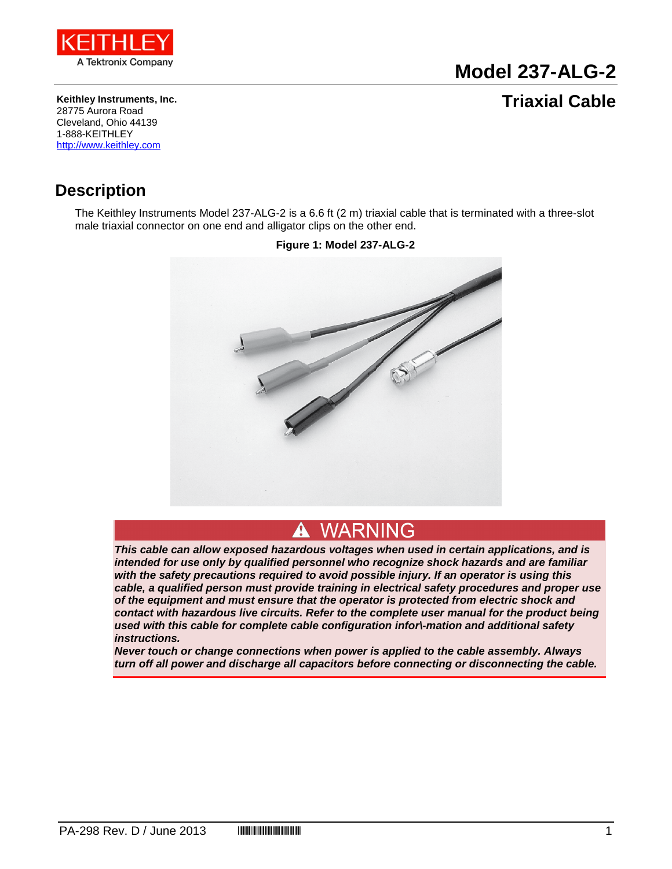

# **Model 237-ALG-2**

**Triaxial Cable**

**Keithley Instruments, Inc.** 28775 Aurora Road Cleveland, Ohio 44139 1-888-KEITHLEY [http://www.keithley.com](http://www.keithley.com/)

## **Description**

The Keithley Instruments Model 237-ALG-2 is a 6.6 ft (2 m) triaxial cable that is terminated with a three-slot male triaxial connector on one end and alligator clips on the other end.



#### **Figure 1: Model 237-ALG-2**

### **A WARNING**

*This cable can allow exposed hazardous voltages when used in certain applications, and is intended for use only by qualified personnel who recognize shock hazards and are familiar with the safety precautions required to avoid possible injury. If an operator is using this cable, a qualified person must provide training in electrical safety procedures and proper use of the equipment and must ensure that the operator is protected from electric shock and contact with hazardous live circuits. Refer to the complete user manual for the product being used with this cable for complete cable configuration infor\-mation and additional safety instructions.* 

*Never touch or change connections when power is applied to the cable assembly. Always turn off all power and discharge all capacitors before connecting or disconnecting the cable.*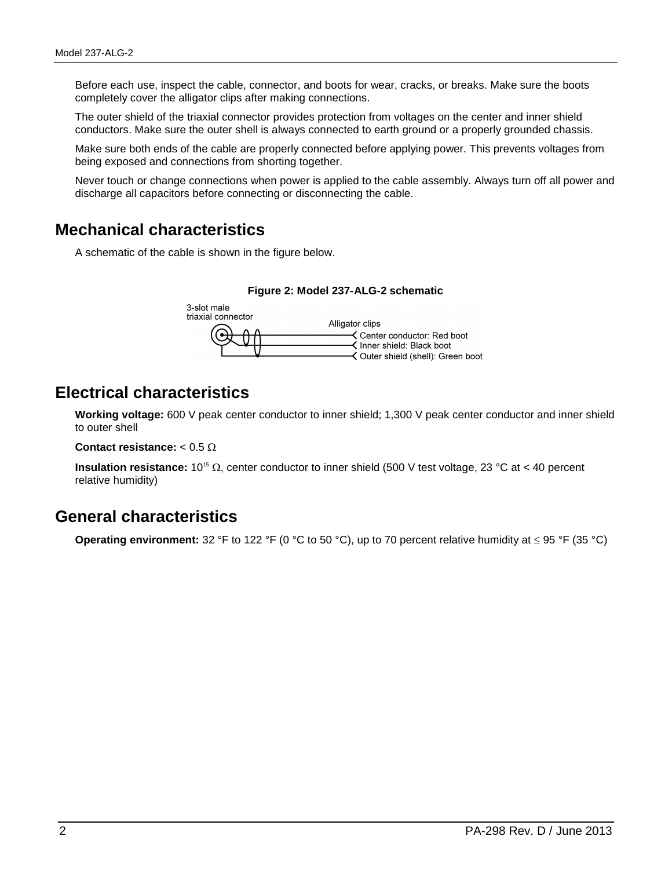Before each use, inspect the cable, connector, and boots for wear, cracks, or breaks. Make sure the boots completely cover the alligator clips after making connections.

The outer shield of the triaxial connector provides protection from voltages on the center and inner shield conductors. Make sure the outer shell is always connected to earth ground or a properly grounded chassis.

Make sure both ends of the cable are properly connected before applying power. This prevents voltages from being exposed and connections from shorting together.

Never touch or change connections when power is applied to the cable assembly. Always turn off all power and discharge all capacitors before connecting or disconnecting the cable.

#### **Mechanical characteristics**

A schematic of the cable is shown in the figure below.



### **Electrical characteristics**

**Working voltage:** 600 V peak center conductor to inner shield; 1,300 V peak center conductor and inner shield to outer shell

**Contact resistance:** < 0.5 Ω

**Insulation resistance:** 10<sup>15</sup> Ω, center conductor to inner shield (500 V test voltage, 23 °C at < 40 percent relative humidity)

#### **General characteristics**

**Operating environment:** 32 °F to 122 °F (0 °C to 50 °C), up to 70 percent relative humidity at ≤ 95 °F (35 °C)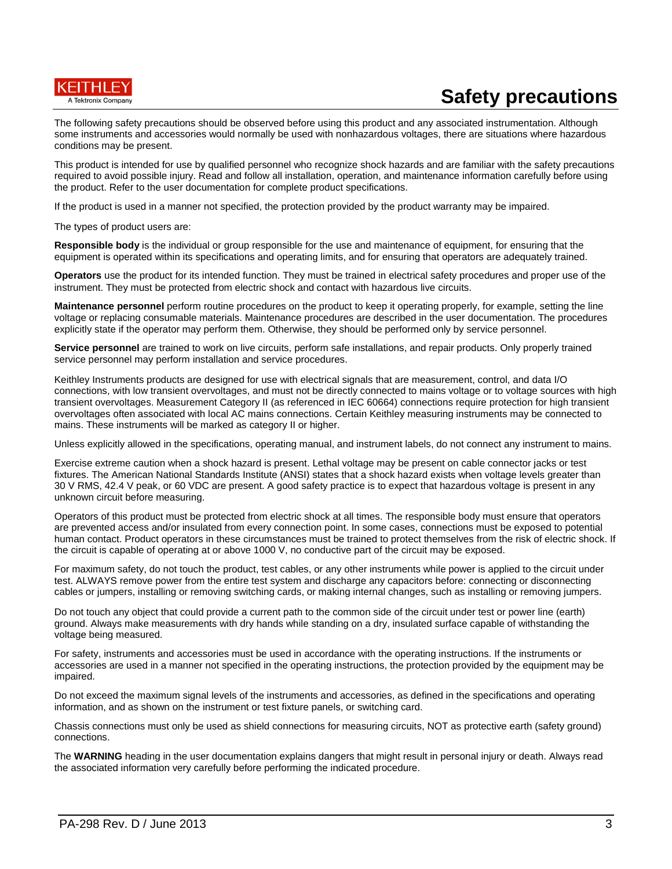

# **Safety precautions**

The following safety precautions should be observed before using this product and any associated instrumentation. Although some instruments and accessories would normally be used with nonhazardous voltages, there are situations where hazardous conditions may be present.

This product is intended for use by qualified personnel who recognize shock hazards and are familiar with the safety precautions required to avoid possible injury. Read and follow all installation, operation, and maintenance information carefully before using the product. Refer to the user documentation for complete product specifications.

If the product is used in a manner not specified, the protection provided by the product warranty may be impaired.

The types of product users are:

**Responsible body** is the individual or group responsible for the use and maintenance of equipment, for ensuring that the equipment is operated within its specifications and operating limits, and for ensuring that operators are adequately trained.

**Operators** use the product for its intended function. They must be trained in electrical safety procedures and proper use of the instrument. They must be protected from electric shock and contact with hazardous live circuits.

**Maintenance personnel** perform routine procedures on the product to keep it operating properly, for example, setting the line voltage or replacing consumable materials. Maintenance procedures are described in the user documentation. The procedures explicitly state if the operator may perform them. Otherwise, they should be performed only by service personnel.

**Service personnel** are trained to work on live circuits, perform safe installations, and repair products. Only properly trained service personnel may perform installation and service procedures.

Keithley Instruments products are designed for use with electrical signals that are measurement, control, and data I/O connections, with low transient overvoltages, and must not be directly connected to mains voltage or to voltage sources with high transient overvoltages. Measurement Category II (as referenced in IEC 60664) connections require protection for high transient overvoltages often associated with local AC mains connections. Certain Keithley measuring instruments may be connected to mains. These instruments will be marked as category II or higher.

Unless explicitly allowed in the specifications, operating manual, and instrument labels, do not connect any instrument to mains.

Exercise extreme caution when a shock hazard is present. Lethal voltage may be present on cable connector jacks or test fixtures. The American National Standards Institute (ANSI) states that a shock hazard exists when voltage levels greater than 30 V RMS, 42.4 V peak, or 60 VDC are present. A good safety practice is to expect that hazardous voltage is present in any unknown circuit before measuring.

Operators of this product must be protected from electric shock at all times. The responsible body must ensure that operators are prevented access and/or insulated from every connection point. In some cases, connections must be exposed to potential human contact. Product operators in these circumstances must be trained to protect themselves from the risk of electric shock. If the circuit is capable of operating at or above 1000 V, no conductive part of the circuit may be exposed.

For maximum safety, do not touch the product, test cables, or any other instruments while power is applied to the circuit under test. ALWAYS remove power from the entire test system and discharge any capacitors before: connecting or disconnecting cables or jumpers, installing or removing switching cards, or making internal changes, such as installing or removing jumpers.

Do not touch any object that could provide a current path to the common side of the circuit under test or power line (earth) ground. Always make measurements with dry hands while standing on a dry, insulated surface capable of withstanding the voltage being measured.

For safety, instruments and accessories must be used in accordance with the operating instructions. If the instruments or accessories are used in a manner not specified in the operating instructions, the protection provided by the equipment may be impaired.

Do not exceed the maximum signal levels of the instruments and accessories, as defined in the specifications and operating information, and as shown on the instrument or test fixture panels, or switching card.

Chassis connections must only be used as shield connections for measuring circuits, NOT as protective earth (safety ground) connections.

The **WARNING** heading in the user documentation explains dangers that might result in personal injury or death. Always read the associated information very carefully before performing the indicated procedure.